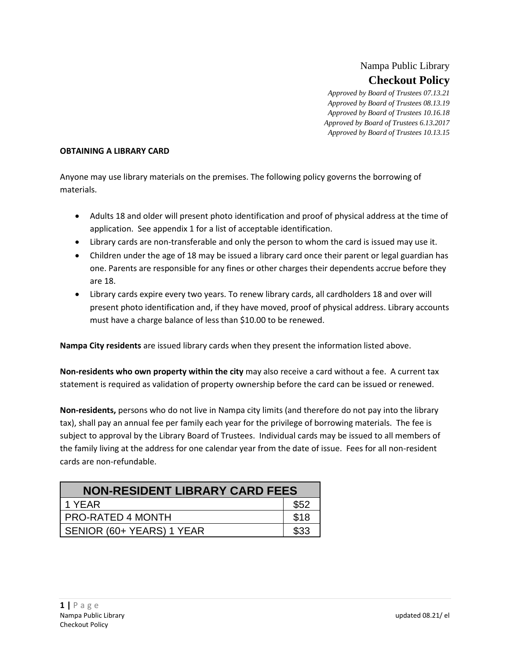# Nampa Public Library **Checkout Policy**

*Approved by Board of Trustees 07.13.21 Approved by Board of Trustees 08.13.19 Approved by Board of Trustees 10.16.18 Approved by Board of Trustees 6.13.2017 Approved by Board of Trustees 10.13.15*

#### **OBTAINING A LIBRARY CARD**

Anyone may use library materials on the premises. The following policy governs the borrowing of materials.

- Adults 18 and older will present photo identification and proof of physical address at the time of application. See appendix 1 for a list of acceptable identification.
- Library cards are non-transferable and only the person to whom the card is issued may use it.
- Children under the age of 18 may be issued a library card once their parent or legal guardian has one. Parents are responsible for any fines or other charges their dependents accrue before they are 18.
- Library cards expire every two years. To renew library cards, all cardholders 18 and over will present photo identification and, if they have moved, proof of physical address. Library accounts must have a charge balance of less than \$10.00 to be renewed.

**Nampa City residents** are issued library cards when they present the information listed above.

**Non-residents who own property within the city** may also receive a card without a fee. A current tax statement is required as validation of property ownership before the card can be issued or renewed.

**Non-residents,** persons who do not live in Nampa city limits (and therefore do not pay into the library tax), shall pay an annual fee per family each year for the privilege of borrowing materials. The fee is subject to approval by the Library Board of Trustees. Individual cards may be issued to all members of the family living at the address for one calendar year from the date of issue. Fees for all non-resident cards are non-refundable.

| <b>NON-RESIDENT LIBRARY CARD FEES</b> |      |  |  |
|---------------------------------------|------|--|--|
| 1 YFAR                                | \$52 |  |  |
| <b>PRO-RATED 4 MONTH</b>              | \$18 |  |  |
| SENIOR (60+ YEARS) 1 YEAR             |      |  |  |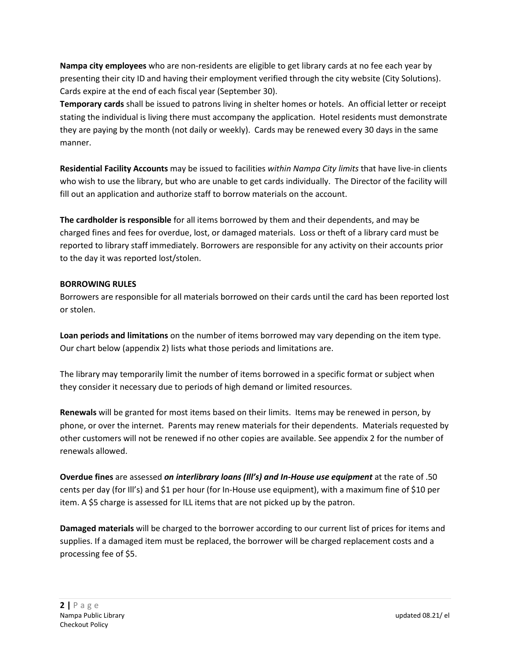**Nampa city employees** who are non-residents are eligible to get library cards at no fee each year by presenting their city ID and having their employment verified through the city website (City Solutions). Cards expire at the end of each fiscal year (September 30).

**Temporary cards** shall be issued to patrons living in shelter homes or hotels. An official letter or receipt stating the individual is living there must accompany the application. Hotel residents must demonstrate they are paying by the month (not daily or weekly). Cards may be renewed every 30 days in the same manner.

**Residential Facility Accounts** may be issued to facilities *within Nampa City limits* that have live-in clients who wish to use the library, but who are unable to get cards individually. The Director of the facility will fill out an application and authorize staff to borrow materials on the account.

**The cardholder is responsible** for all items borrowed by them and their dependents, and may be charged fines and fees for overdue, lost, or damaged materials. Loss or theft of a library card must be reported to library staff immediately. Borrowers are responsible for any activity on their accounts prior to the day it was reported lost/stolen.

### **BORROWING RULES**

Borrowers are responsible for all materials borrowed on their cards until the card has been reported lost or stolen.

**Loan periods and limitations** on the number of items borrowed may vary depending on the item type. Our chart below (appendix 2) lists what those periods and limitations are.

The library may temporarily limit the number of items borrowed in a specific format or subject when they consider it necessary due to periods of high demand or limited resources.

**Renewals** will be granted for most items based on their limits. Items may be renewed in person, by phone, or over the internet. Parents may renew materials for their dependents. Materials requested by other customers will not be renewed if no other copies are available. See appendix 2 for the number of renewals allowed.

**Overdue fines** are assessed *on interlibrary loans (Ill's) and In-House use equipment* at the rate of .50 cents per day (for Ill's) and \$1 per hour (for In-House use equipment), with a maximum fine of \$10 per item. A \$5 charge is assessed for ILL items that are not picked up by the patron.

**Damaged materials** will be charged to the borrower according to our current list of prices for items and supplies. If a damaged item must be replaced, the borrower will be charged replacement costs and a processing fee of \$5.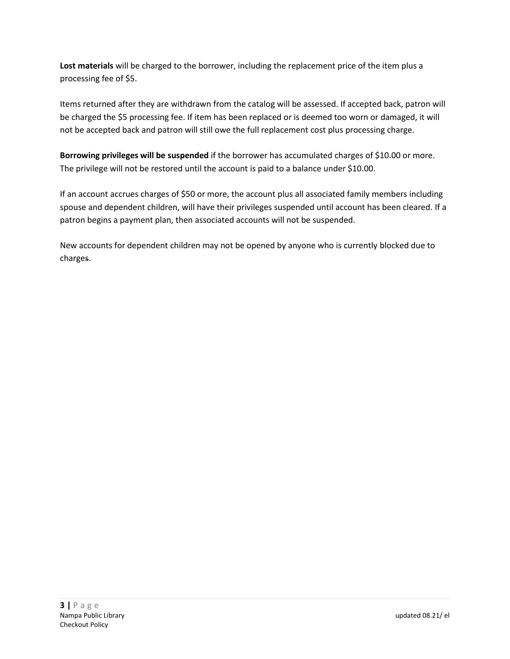**Lost materials** will be charged to the borrower, including the replacement price of the item plus a processing fee of \$5.

Items returned after they are withdrawn from the catalog will be assessed. If accepted back, patron will be charged the \$5 processing fee. If item has been replaced or is deemed too worn or damaged, it will not be accepted back and patron will still owe the full replacement cost plus processing charge.

**Borrowing privileges will be suspended** if the borrower has accumulated charges of \$10.00 or more. The privilege will not be restored until the account is paid to a balance under \$10.00.

If an account accrues charges of \$50 or more, the account plus all associated family members including spouse and dependent children, will have their privileges suspended until account has been cleared. If a patron begins a payment plan, then associated accounts will not be suspended.

New accounts for dependent children may not be opened by anyone who is currently blocked due to charges.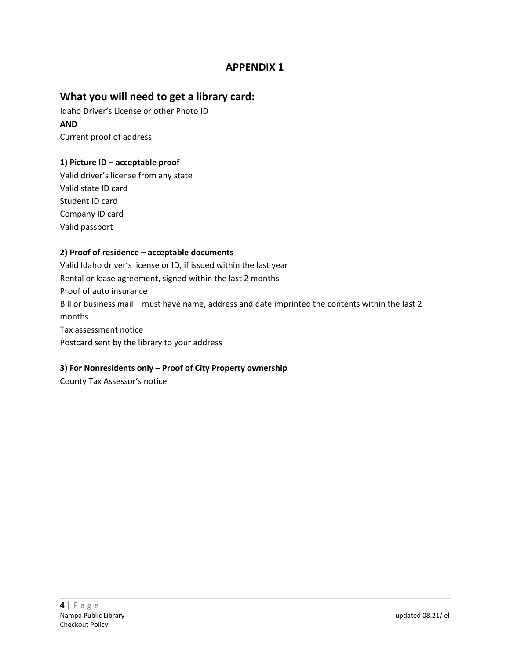# **APPENDIX 1**

### **What you will need to get a library card:**

Idaho Driver's License or other Photo ID **AND** Current proof of address

### **1) Picture ID – acceptable proof**

Valid driver's license from any state Valid state ID card Student ID card Company ID card Valid passport

### **2) Proof of residence – acceptable documents**

Valid Idaho driver's license or ID, if issued within the last year Rental or lease agreement, signed within the last 2 months Proof of auto insurance Bill or business mail – must have name, address and date imprinted the contents within the last 2 months Tax assessment notice Postcard sent by the library to your address

### **3) For Nonresidents only – Proof of City Property ownership**

County Tax Assessor's notice